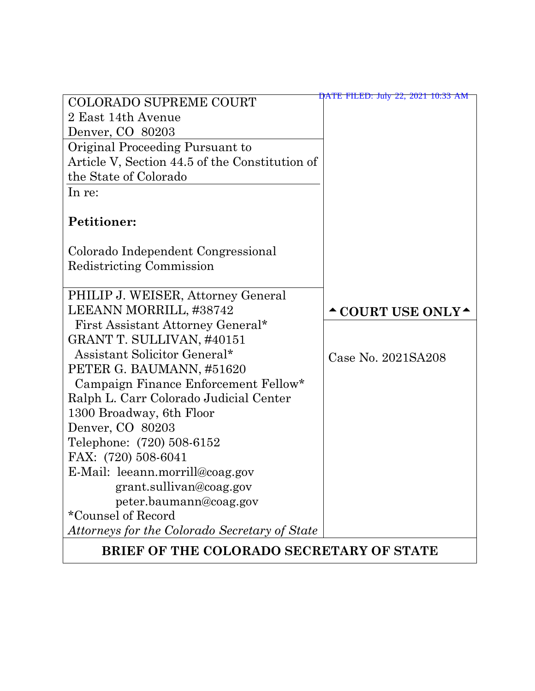| <b>COLORADO SUPREME COURT</b>                  | DATE FILED: July 22, 2021 10:33 AM                                                                                      |
|------------------------------------------------|-------------------------------------------------------------------------------------------------------------------------|
| 2 East 14th Avenue                             |                                                                                                                         |
| Denver, CO 80203                               |                                                                                                                         |
| Original Proceeding Pursuant to                |                                                                                                                         |
| Article V, Section 44.5 of the Constitution of |                                                                                                                         |
| the State of Colorado                          |                                                                                                                         |
| In re:                                         |                                                                                                                         |
|                                                |                                                                                                                         |
| <b>Petitioner:</b>                             |                                                                                                                         |
|                                                |                                                                                                                         |
| Colorado Independent Congressional             |                                                                                                                         |
| Redistricting Commission                       |                                                                                                                         |
|                                                |                                                                                                                         |
| PHILIP J. WEISER, Attorney General             |                                                                                                                         |
| LEEANN MORRILL, #38742                         | $\textcolor{red}{\textbf{\textcolor{blue}{\sim}}}$ COURT USE ONLY $\textcolor{red}{\textbf{\textcolor{blue}{\bullet}}}$ |
| First Assistant Attorney General*              |                                                                                                                         |
| GRANT T. SULLIVAN, #40151                      |                                                                                                                         |
| Assistant Solicitor General*                   | Case No. 2021SA208                                                                                                      |
| PETER G. BAUMANN, #51620                       |                                                                                                                         |
| Campaign Finance Enforcement Fellow*           |                                                                                                                         |
| Ralph L. Carr Colorado Judicial Center         |                                                                                                                         |
| 1300 Broadway, 6th Floor                       |                                                                                                                         |
| Denver, CO 80203                               |                                                                                                                         |
| Telephone: (720) 508-6152                      |                                                                                                                         |
| FAX: (720) 508-6041                            |                                                                                                                         |
| E-Mail: leeann.morrill@coag.gov                |                                                                                                                         |
| grant.sullivan@coag.gov                        |                                                                                                                         |
| peter.baumann@coag.gov                         |                                                                                                                         |
| *Counsel of Record                             |                                                                                                                         |
| Attorneys for the Colorado Secretary of State  |                                                                                                                         |
| BRIEF OF THE COLORADO SECRETARY OF STATE       |                                                                                                                         |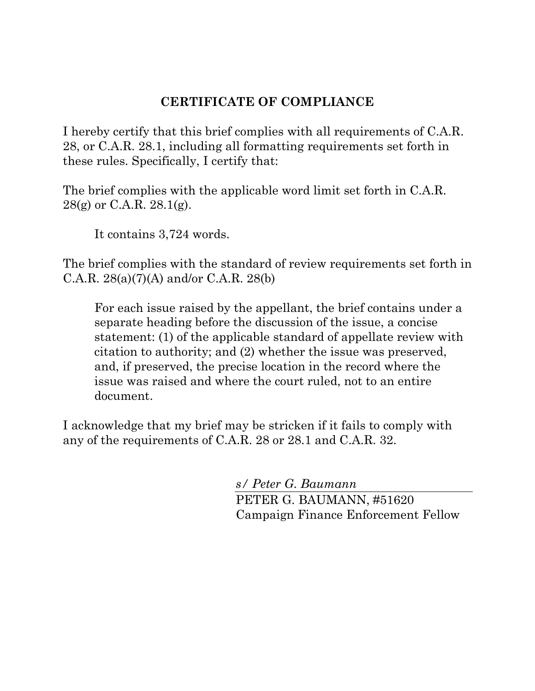### **CERTIFICATE OF COMPLIANCE**

I hereby certify that this brief complies with all requirements of C.A.R. 28, or C.A.R. 28.1, including all formatting requirements set forth in these rules. Specifically, I certify that:

The brief complies with the applicable word limit set forth in C.A.R. 28(g) or C.A.R. 28.1(g).

It contains 3,724 words.

The brief complies with the standard of review requirements set forth in C.A.R.  $28(a)(7)(A)$  and/or C.A.R.  $28(b)$ 

For each issue raised by the appellant, the brief contains under a separate heading before the discussion of the issue, a concise statement: (1) of the applicable standard of appellate review with citation to authority; and (2) whether the issue was preserved, and, if preserved, the precise location in the record where the issue was raised and where the court ruled, not to an entire document.

I acknowledge that my brief may be stricken if it fails to comply with any of the requirements of C.A.R. 28 or 28.1 and C.A.R. 32.

> *s/ Peter G. Baumann* PETER G. BAUMANN, #51620 Campaign Finance Enforcement Fellow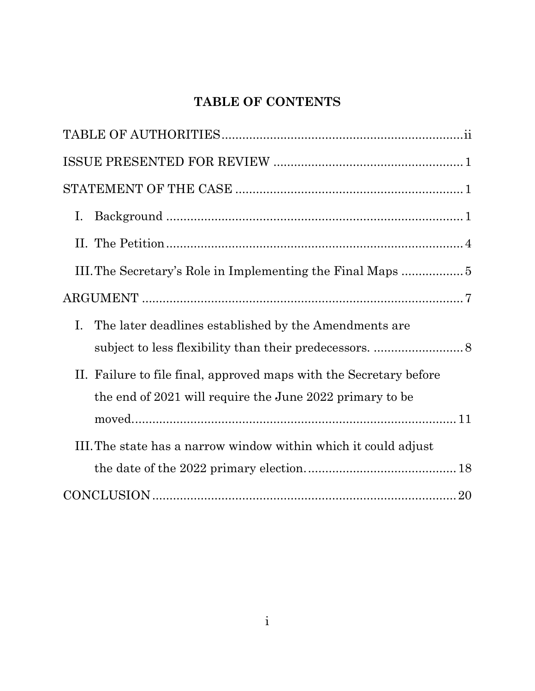# **TABLE OF CONTENTS**

| Ι.                                                                                                                             |
|--------------------------------------------------------------------------------------------------------------------------------|
|                                                                                                                                |
|                                                                                                                                |
|                                                                                                                                |
| The later deadlines established by the Amendments are<br>$\rm{I}$ .                                                            |
| II. Failure to file final, approved maps with the Secretary before<br>the end of 2021 will require the June 2022 primary to be |
| III. The state has a narrow window within which it could adjust                                                                |
|                                                                                                                                |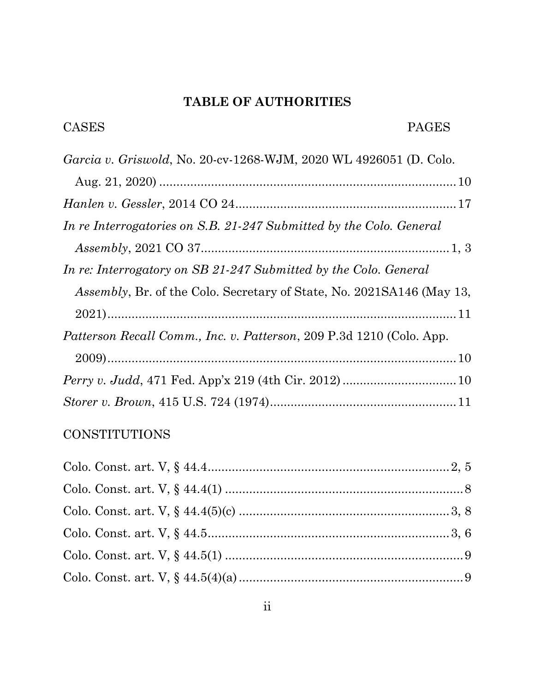## **TABLE OF AUTHORITIES**

| Garcia v. Griswold, No. 20-cv-1268-WJM, 2020 WL 4926051 (D. Colo.             |
|-------------------------------------------------------------------------------|
|                                                                               |
|                                                                               |
| In re Interrogatories on S.B. 21-247 Submitted by the Colo. General           |
|                                                                               |
| In re: Interrogatory on SB 21-247 Submitted by the Colo. General              |
| <i>Assembly</i> , Br. of the Colo. Secretary of State, No. 2021SA146 (May 13, |
|                                                                               |
| Patterson Recall Comm., Inc. v. Patterson, 209 P.3d 1210 (Colo. App.          |
|                                                                               |
|                                                                               |
|                                                                               |

# CONSTITUTIONS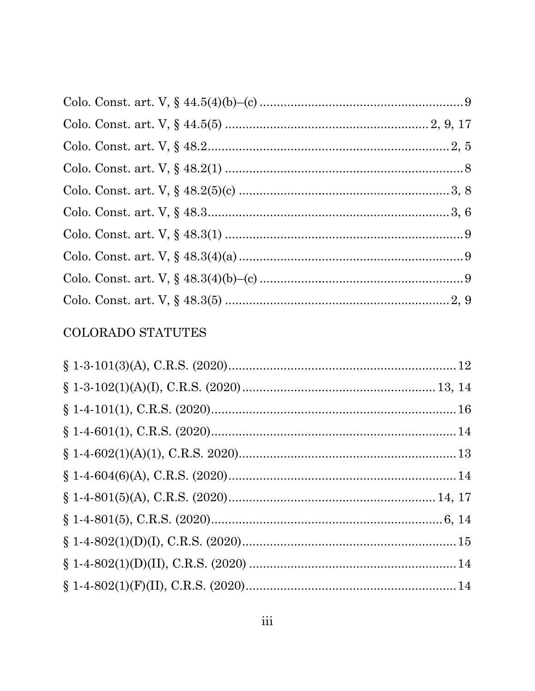# COLORADO STATUTES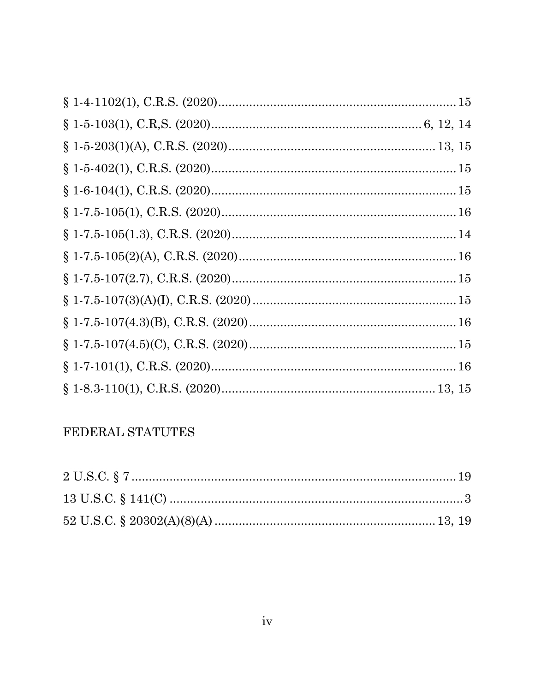# FEDERAL STATUTES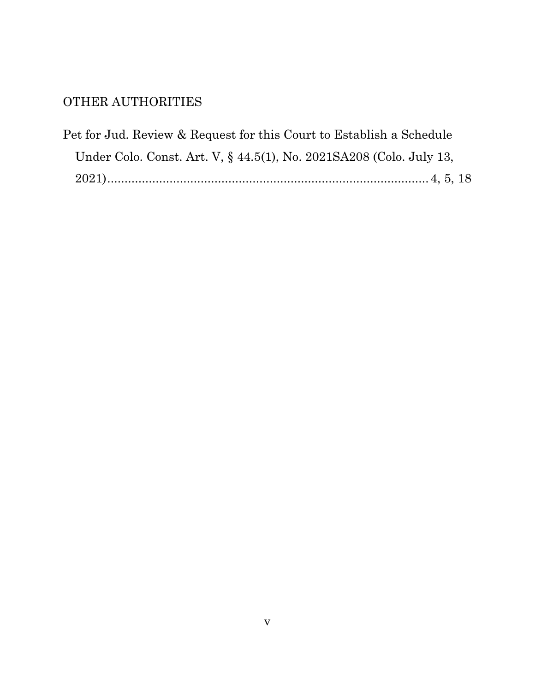## OTHER AUTHORITIES

| Pet for Jud. Review & Request for this Court to Establish a Schedule |  |
|----------------------------------------------------------------------|--|
| Under Colo. Const. Art. V, § 44.5(1), No. 2021SA208 (Colo. July 13.  |  |
|                                                                      |  |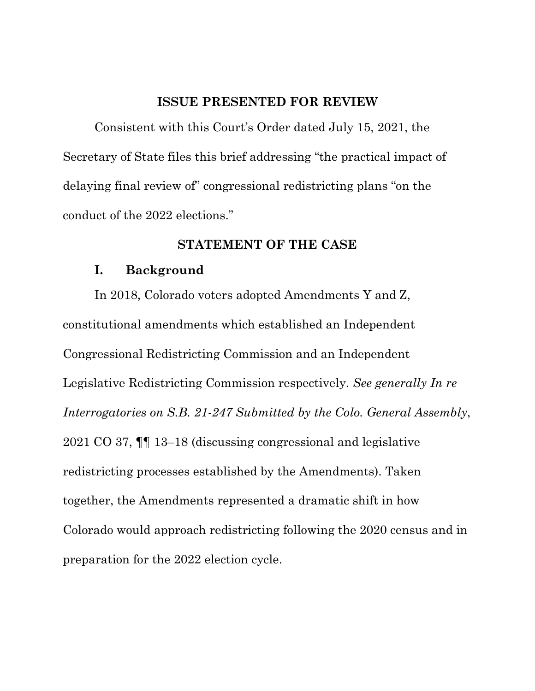#### **ISSUE PRESENTED FOR REVIEW**

Consistent with this Court's Order dated July 15, 2021, the Secretary of State files this brief addressing "the practical impact of delaying final review of" congressional redistricting plans "on the conduct of the 2022 elections."

#### **STATEMENT OF THE CASE**

#### **I. Background**

In 2018, Colorado voters adopted Amendments Y and Z, constitutional amendments which established an Independent Congressional Redistricting Commission and an Independent Legislative Redistricting Commission respectively. *See generally In re Interrogatories on S.B. 21-247 Submitted by the Colo. General Assembly*, 2021 CO 37, ¶¶ 13–18 (discussing congressional and legislative redistricting processes established by the Amendments). Taken together, the Amendments represented a dramatic shift in how Colorado would approach redistricting following the 2020 census and in preparation for the 2022 election cycle.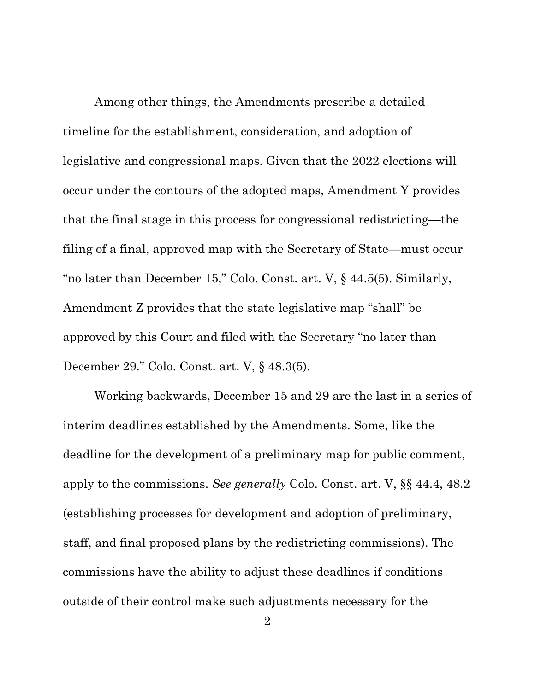Among other things, the Amendments prescribe a detailed timeline for the establishment, consideration, and adoption of legislative and congressional maps. Given that the 2022 elections will occur under the contours of the adopted maps, Amendment Y provides that the final stage in this process for congressional redistricting—the filing of a final, approved map with the Secretary of State—must occur "no later than December 15," Colo. Const. art. V, § 44.5(5). Similarly, Amendment Z provides that the state legislative map "shall" be approved by this Court and filed with the Secretary "no later than December 29." Colo. Const. art. V, § 48.3(5).

Working backwards, December 15 and 29 are the last in a series of interim deadlines established by the Amendments. Some, like the deadline for the development of a preliminary map for public comment, apply to the commissions. *See generally* Colo. Const. art. V, §§ 44.4, 48.2 (establishing processes for development and adoption of preliminary, staff, and final proposed plans by the redistricting commissions). The commissions have the ability to adjust these deadlines if conditions outside of their control make such adjustments necessary for the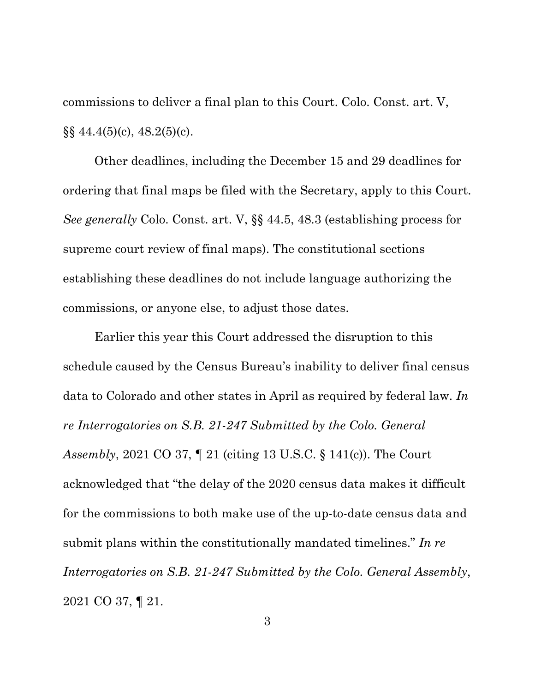commissions to deliver a final plan to this Court. Colo. Const. art. V,  $\S$ § 44.4(5)(c), 48.2(5)(c).

Other deadlines, including the December 15 and 29 deadlines for ordering that final maps be filed with the Secretary, apply to this Court. *See generally* Colo. Const. art. V, §§ 44.5, 48.3 (establishing process for supreme court review of final maps). The constitutional sections establishing these deadlines do not include language authorizing the commissions, or anyone else, to adjust those dates.

Earlier this year this Court addressed the disruption to this schedule caused by the Census Bureau's inability to deliver final census data to Colorado and other states in April as required by federal law. *In re Interrogatories on S.B. 21-247 Submitted by the Colo. General Assembly*, 2021 CO 37, ¶ 21 (citing 13 U.S.C. § 141(c)). The Court acknowledged that "the delay of the 2020 census data makes it difficult for the commissions to both make use of the up-to-date census data and submit plans within the constitutionally mandated timelines." *In re Interrogatories on S.B. 21-247 Submitted by the Colo. General Assembly*, 2021 CO 37, ¶ 21.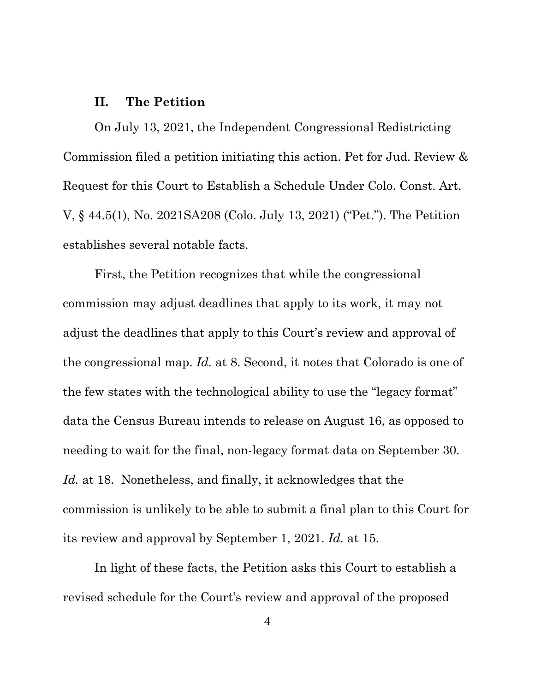#### **II. The Petition**

On July 13, 2021, the Independent Congressional Redistricting Commission filed a petition initiating this action. Pet for Jud. Review & Request for this Court to Establish a Schedule Under Colo. Const. Art. V, § 44.5(1), No. 2021SA208 (Colo. July 13, 2021) ("Pet."). The Petition establishes several notable facts.

First, the Petition recognizes that while the congressional commission may adjust deadlines that apply to its work, it may not adjust the deadlines that apply to this Court's review and approval of the congressional map. *Id.* at 8. Second, it notes that Colorado is one of the few states with the technological ability to use the "legacy format" data the Census Bureau intends to release on August 16, as opposed to needing to wait for the final, non-legacy format data on September 30. *Id.* at 18. Nonetheless, and finally, it acknowledges that the commission is unlikely to be able to submit a final plan to this Court for its review and approval by September 1, 2021. *Id.* at 15.

In light of these facts, the Petition asks this Court to establish a revised schedule for the Court's review and approval of the proposed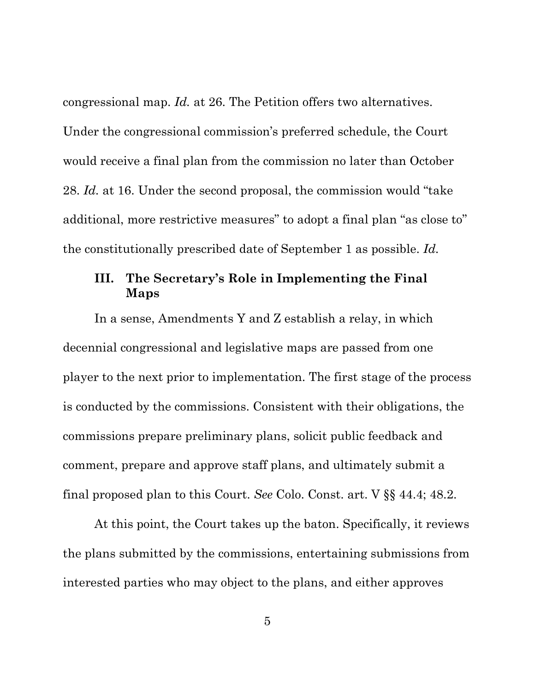congressional map. *Id.* at 26. The Petition offers two alternatives. Under the congressional commission's preferred schedule, the Court would receive a final plan from the commission no later than October 28. *Id.* at 16. Under the second proposal, the commission would "take additional, more restrictive measures" to adopt a final plan "as close to" the constitutionally prescribed date of September 1 as possible. *Id.*

#### **III. The Secretary's Role in Implementing the Final Maps**

In a sense, Amendments Y and Z establish a relay, in which decennial congressional and legislative maps are passed from one player to the next prior to implementation. The first stage of the process is conducted by the commissions. Consistent with their obligations, the commissions prepare preliminary plans, solicit public feedback and comment, prepare and approve staff plans, and ultimately submit a final proposed plan to this Court. *See* Colo. Const. art. V §§ 44.4; 48.2.

At this point, the Court takes up the baton. Specifically, it reviews the plans submitted by the commissions, entertaining submissions from interested parties who may object to the plans, and either approves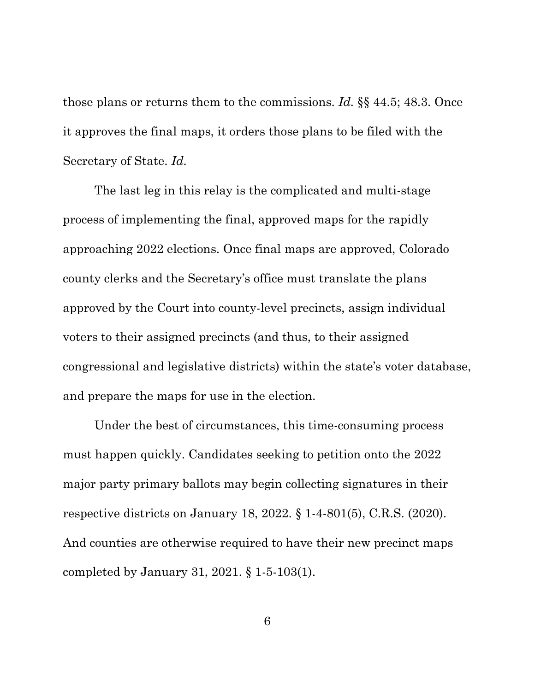those plans or returns them to the commissions. *Id.* §§ 44.5; 48.3. Once it approves the final maps, it orders those plans to be filed with the Secretary of State. *Id.*

The last leg in this relay is the complicated and multi-stage process of implementing the final, approved maps for the rapidly approaching 2022 elections. Once final maps are approved, Colorado county clerks and the Secretary's office must translate the plans approved by the Court into county-level precincts, assign individual voters to their assigned precincts (and thus, to their assigned congressional and legislative districts) within the state's voter database, and prepare the maps for use in the election.

Under the best of circumstances, this time-consuming process must happen quickly. Candidates seeking to petition onto the 2022 major party primary ballots may begin collecting signatures in their respective districts on January 18, 2022. § 1-4-801(5), C.R.S. (2020). And counties are otherwise required to have their new precinct maps completed by January 31, 2021. § 1-5-103(1).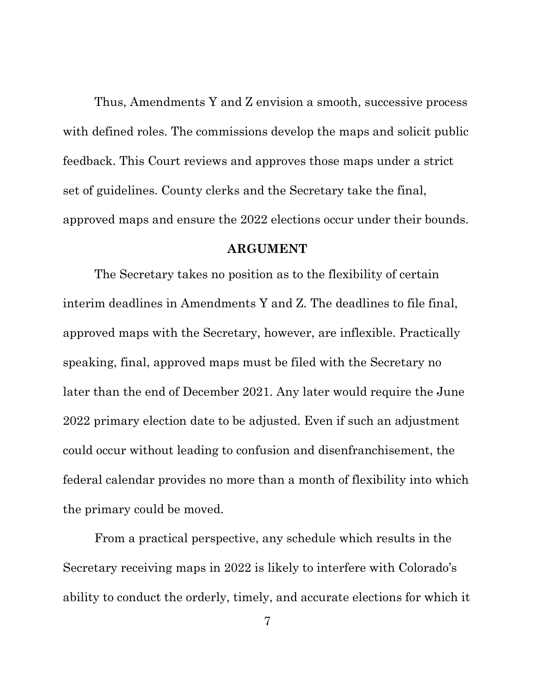Thus, Amendments Y and Z envision a smooth, successive process with defined roles. The commissions develop the maps and solicit public feedback. This Court reviews and approves those maps under a strict set of guidelines. County clerks and the Secretary take the final, approved maps and ensure the 2022 elections occur under their bounds.

#### **ARGUMENT**

The Secretary takes no position as to the flexibility of certain interim deadlines in Amendments Y and Z. The deadlines to file final, approved maps with the Secretary, however, are inflexible. Practically speaking, final, approved maps must be filed with the Secretary no later than the end of December 2021. Any later would require the June 2022 primary election date to be adjusted. Even if such an adjustment could occur without leading to confusion and disenfranchisement, the federal calendar provides no more than a month of flexibility into which the primary could be moved.

From a practical perspective, any schedule which results in the Secretary receiving maps in 2022 is likely to interfere with Colorado's ability to conduct the orderly, timely, and accurate elections for which it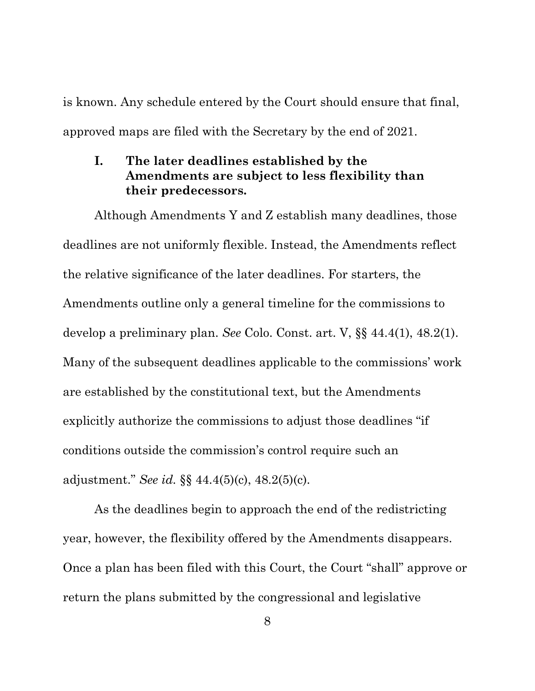is known. Any schedule entered by the Court should ensure that final, approved maps are filed with the Secretary by the end of 2021.

#### **I. The later deadlines established by the Amendments are subject to less flexibility than their predecessors.**

Although Amendments Y and Z establish many deadlines, those deadlines are not uniformly flexible. Instead, the Amendments reflect the relative significance of the later deadlines. For starters, the Amendments outline only a general timeline for the commissions to develop a preliminary plan. *See* Colo. Const. art. V, §§ 44.4(1), 48.2(1). Many of the subsequent deadlines applicable to the commissions' work are established by the constitutional text, but the Amendments explicitly authorize the commissions to adjust those deadlines "if conditions outside the commission's control require such an adjustment." *See id.* §§ 44.4(5)(c), 48.2(5)(c).

As the deadlines begin to approach the end of the redistricting year, however, the flexibility offered by the Amendments disappears. Once a plan has been filed with this Court, the Court "shall" approve or return the plans submitted by the congressional and legislative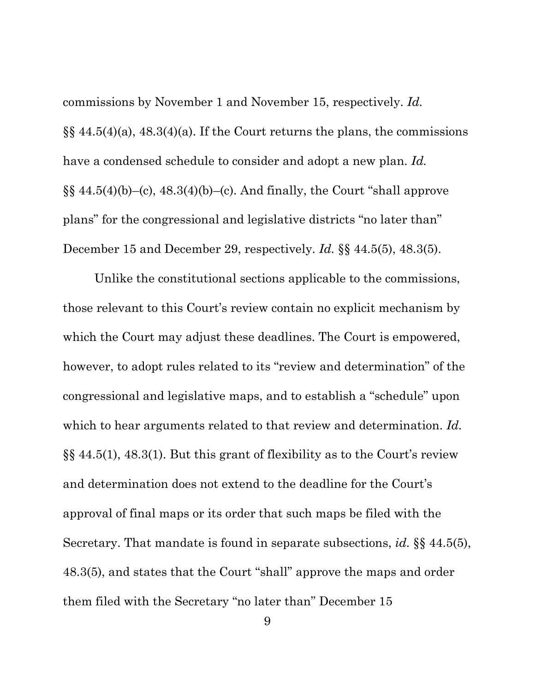commissions by November 1 and November 15, respectively. *Id.*  $\S\S 44.5(4)(a)$ ,  $48.3(4)(a)$ . If the Court returns the plans, the commissions have a condensed schedule to consider and adopt a new plan. *Id.*  $\S\S 44.5(4)(b)$ –(c),  $48.3(4)(b)$ –(c). And finally, the Court "shall approve plans" for the congressional and legislative districts "no later than" December 15 and December 29, respectively. *Id.* §§ 44.5(5), 48.3(5).

Unlike the constitutional sections applicable to the commissions, those relevant to this Court's review contain no explicit mechanism by which the Court may adjust these deadlines. The Court is empowered, however, to adopt rules related to its "review and determination" of the congressional and legislative maps, and to establish a "schedule" upon which to hear arguments related to that review and determination. *Id.* §§ 44.5(1), 48.3(1). But this grant of flexibility as to the Court's review and determination does not extend to the deadline for the Court's approval of final maps or its order that such maps be filed with the Secretary. That mandate is found in separate subsections, *id.* §§ 44.5(5), 48.3(5), and states that the Court "shall" approve the maps and order them filed with the Secretary "no later than" December 15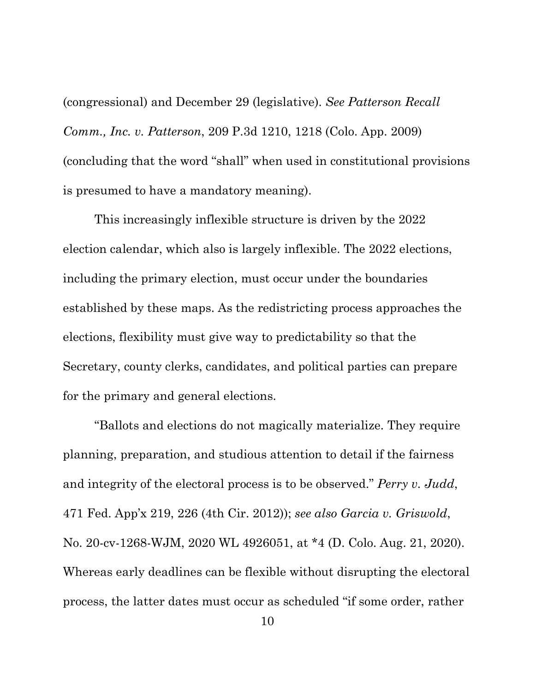(congressional) and December 29 (legislative). *See Patterson Recall Comm., Inc. v. Patterson*, 209 P.3d 1210, 1218 (Colo. App. 2009) (concluding that the word "shall" when used in constitutional provisions is presumed to have a mandatory meaning).

This increasingly inflexible structure is driven by the 2022 election calendar, which also is largely inflexible. The 2022 elections, including the primary election, must occur under the boundaries established by these maps. As the redistricting process approaches the elections, flexibility must give way to predictability so that the Secretary, county clerks, candidates, and political parties can prepare for the primary and general elections.

"Ballots and elections do not magically materialize. They require planning, preparation, and studious attention to detail if the fairness and integrity of the electoral process is to be observed." *Perry v. Judd*, 471 Fed. App'x 219, 226 (4th Cir. 2012)); *see also Garcia v. Griswold*, No. 20-cv-1268-WJM, 2020 WL 4926051, at \*4 (D. Colo. Aug. 21, 2020). Whereas early deadlines can be flexible without disrupting the electoral process, the latter dates must occur as scheduled "if some order, rather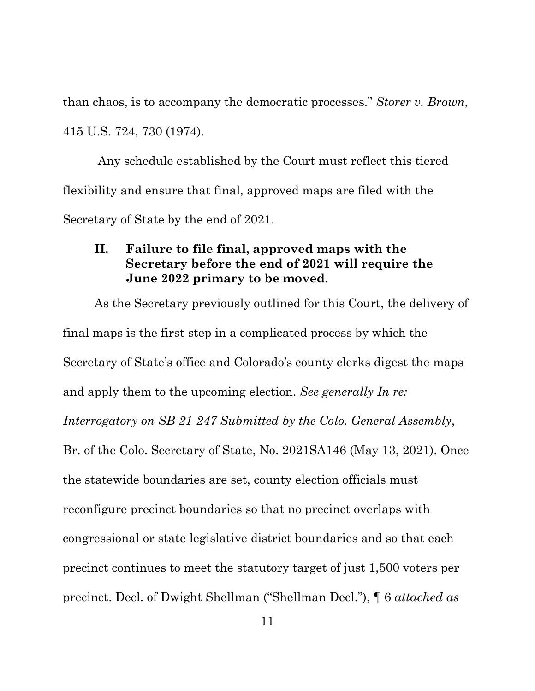than chaos, is to accompany the democratic processes." *Storer v. Brown*, 415 U.S. 724, 730 (1974).

Any schedule established by the Court must reflect this tiered flexibility and ensure that final, approved maps are filed with the Secretary of State by the end of 2021.

#### **II. Failure to file final, approved maps with the Secretary before the end of 2021 will require the June 2022 primary to be moved.**

As the Secretary previously outlined for this Court, the delivery of final maps is the first step in a complicated process by which the Secretary of State's office and Colorado's county clerks digest the maps and apply them to the upcoming election. *See generally In re: Interrogatory on SB 21-247 Submitted by the Colo. General Assembly*, Br. of the Colo. Secretary of State, No. 2021SA146 (May 13, 2021). Once the statewide boundaries are set, county election officials must reconfigure precinct boundaries so that no precinct overlaps with congressional or state legislative district boundaries and so that each precinct continues to meet the statutory target of just 1,500 voters per precinct. Decl. of Dwight Shellman ("Shellman Decl."), ¶ 6 *attached as*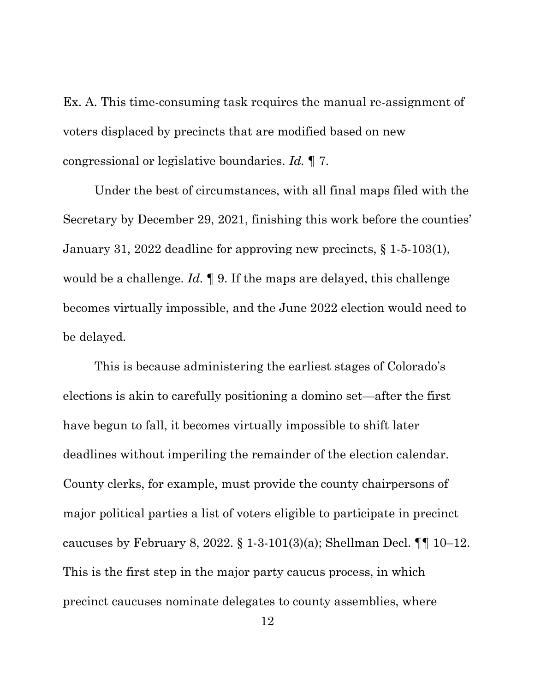Ex. A. This time-consuming task requires the manual re-assignment of voters displaced by precincts that are modified based on new congressional or legislative boundaries. *Id.* ¶ 7.

Under the best of circumstances, with all final maps filed with the Secretary by December 29, 2021, finishing this work before the counties' January 31, 2022 deadline for approving new precincts, § 1-5-103(1), would be a challenge. *Id.* ¶ 9. If the maps are delayed, this challenge becomes virtually impossible, and the June 2022 election would need to be delayed.

This is because administering the earliest stages of Colorado's elections is akin to carefully positioning a domino set—after the first have begun to fall, it becomes virtually impossible to shift later deadlines without imperiling the remainder of the election calendar. County clerks, for example, must provide the county chairpersons of major political parties a list of voters eligible to participate in precinct caucuses by February 8, 2022. § 1-3-101(3)(a); Shellman Decl.  $\P\P$  10–12. This is the first step in the major party caucus process, in which precinct caucuses nominate delegates to county assemblies, where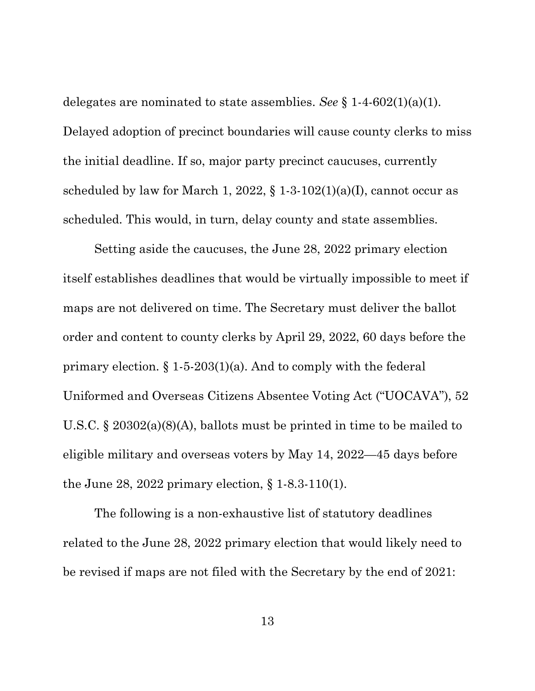delegates are nominated to state assemblies. *See* § 1-4-602(1)(a)(1). Delayed adoption of precinct boundaries will cause county clerks to miss the initial deadline. If so, major party precinct caucuses, currently scheduled by law for March 1, 2022,  $\S 1-3-102(1)(a)(I)$ , cannot occur as scheduled. This would, in turn, delay county and state assemblies.

Setting aside the caucuses, the June 28, 2022 primary election itself establishes deadlines that would be virtually impossible to meet if maps are not delivered on time. The Secretary must deliver the ballot order and content to county clerks by April 29, 2022, 60 days before the primary election.  $\S 1-5-203(1)(a)$ . And to comply with the federal Uniformed and Overseas Citizens Absentee Voting Act ("UOCAVA"), 52 U.S.C. § 20302(a)(8)(A), ballots must be printed in time to be mailed to eligible military and overseas voters by May 14, 2022—45 days before the June 28, 2022 primary election, § 1-8.3-110(1).

The following is a non-exhaustive list of statutory deadlines related to the June 28, 2022 primary election that would likely need to be revised if maps are not filed with the Secretary by the end of 2021: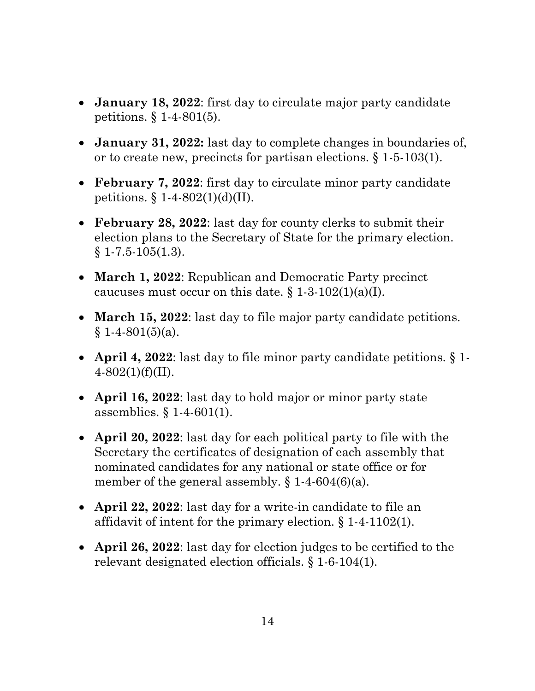- **January 18, 2022**: first day to circulate major party candidate petitions. § 1-4-801(5).
- **January 31, 2022:** last day to complete changes in boundaries of, or to create new, precincts for partisan elections. § 1-5-103(1).
- **February 7, 2022**: first day to circulate minor party candidate petitions.  $\S 1-4-802(1)(d)(II)$ .
- **February 28, 2022**: last day for county clerks to submit their election plans to the Secretary of State for the primary election.  $§ 1-7.5-105(1.3).$
- **March 1, 2022**: Republican and Democratic Party precinct caucuses must occur on this date.  $\S 1-3-102(1)(a)(I)$ .
- **March 15, 2022**: last day to file major party candidate petitions.  $§ 1-4-801(5)(a).$
- **April 4, 2022**: last day to file minor party candidate petitions. § 1-  $4-802(1)(f)(II)$ .
- **April 16, 2022**: last day to hold major or minor party state assemblies. § 1-4-601(1).
- **April 20, 2022**: last day for each political party to file with the Secretary the certificates of designation of each assembly that nominated candidates for any national or state office or for member of the general assembly.  $\S 1-4-604(6)(a)$ .
- **April 22, 2022**: last day for a write-in candidate to file an affidavit of intent for the primary election. § 1-4-1102(1).
- **April 26, 2022**: last day for election judges to be certified to the relevant designated election officials. § 1-6-104(1).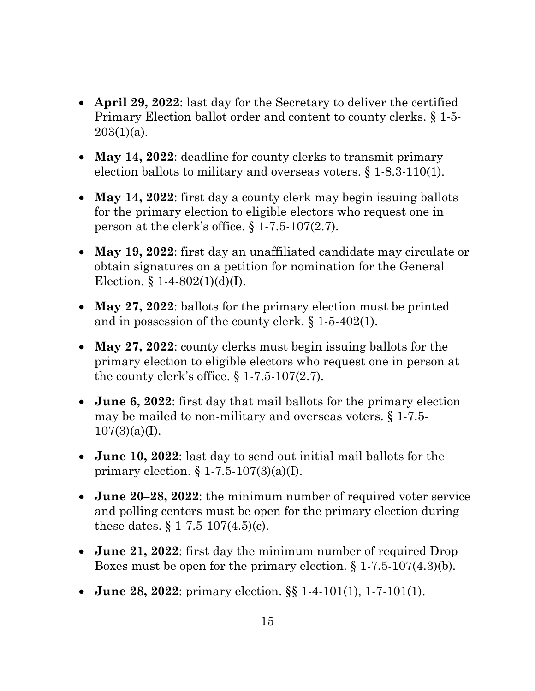- **April 29, 2022**: last day for the Secretary to deliver the certified Primary Election ballot order and content to county clerks. § 1-5-  $203(1)(a)$ .
- **May 14, 2022**: deadline for county clerks to transmit primary election ballots to military and overseas voters. § 1-8.3-110(1).
- May 14, 2022: first day a county clerk may begin issuing ballots for the primary election to eligible electors who request one in person at the clerk's office.  $\S 1-7.5-107(2.7)$ .
- **May 19, 2022**: first day an unaffiliated candidate may circulate or obtain signatures on a petition for nomination for the General Election.  $§ 1-4-802(1)(d)(I)$ .
- **May 27, 2022**: ballots for the primary election must be printed and in possession of the county clerk. § 1-5-402(1).
- **May 27, 2022**: county clerks must begin issuing ballots for the primary election to eligible electors who request one in person at the county clerk's office.  $\S 1-7.5-107(2.7)$ .
- **June 6, 2022**: first day that mail ballots for the primary election may be mailed to non-military and overseas voters. § 1-7.5-  $107(3)(a)(I).$
- **June 10, 2022**: last day to send out initial mail ballots for the primary election.  $\S 1-7.5-107(3)(a)(I)$ .
- **June 20–28, 2022**: the minimum number of required voter service and polling centers must be open for the primary election during these dates.  $§ 1-7.5-107(4.5)(c)$ .
- **June 21, 2022**: first day the minimum number of required Drop Boxes must be open for the primary election. § 1-7.5-107(4.3)(b).
- **June 28, 2022**: primary election. §§ 1-4-101(1), 1-7-101(1).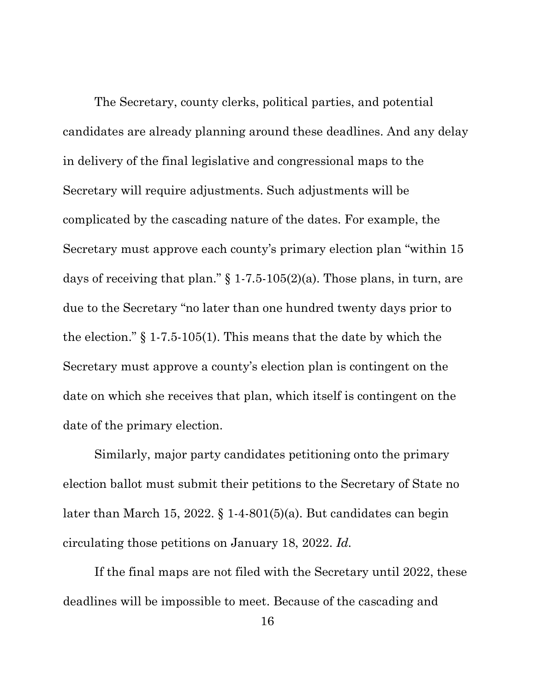The Secretary, county clerks, political parties, and potential candidates are already planning around these deadlines. And any delay in delivery of the final legislative and congressional maps to the Secretary will require adjustments. Such adjustments will be complicated by the cascading nature of the dates. For example, the Secretary must approve each county's primary election plan "within 15 days of receiving that plan."  $\S 1-7.5-105(2)$ (a). Those plans, in turn, are due to the Secretary "no later than one hundred twenty days prior to the election." § 1-7.5-105(1). This means that the date by which the Secretary must approve a county's election plan is contingent on the date on which she receives that plan, which itself is contingent on the date of the primary election.

Similarly, major party candidates petitioning onto the primary election ballot must submit their petitions to the Secretary of State no later than March 15, 2022.  $\S$  1-4-801(5)(a). But candidates can begin circulating those petitions on January 18, 2022. *Id.*

If the final maps are not filed with the Secretary until 2022, these deadlines will be impossible to meet. Because of the cascading and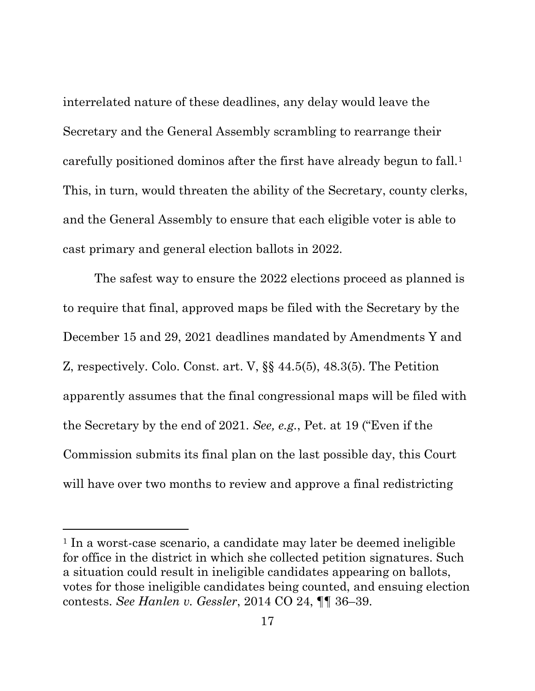interrelated nature of these deadlines, any delay would leave the Secretary and the General Assembly scrambling to rearrange their carefully positioned dominos after the first have already begun to fall.1 This, in turn, would threaten the ability of the Secretary, county clerks, and the General Assembly to ensure that each eligible voter is able to cast primary and general election ballots in 2022.

The safest way to ensure the 2022 elections proceed as planned is to require that final, approved maps be filed with the Secretary by the December 15 and 29, 2021 deadlines mandated by Amendments Y and Z, respectively. Colo. Const. art. V, §§ 44.5(5), 48.3(5). The Petition apparently assumes that the final congressional maps will be filed with the Secretary by the end of 2021. *See, e.g.*, Pet. at 19 ("Even if the Commission submits its final plan on the last possible day, this Court will have over two months to review and approve a final redistricting

<sup>&</sup>lt;sup>1</sup> In a worst-case scenario, a candidate may later be deemed ineligible for office in the district in which she collected petition signatures. Such a situation could result in ineligible candidates appearing on ballots, votes for those ineligible candidates being counted, and ensuing election contests. *See Hanlen v. Gessler*, 2014 CO 24, ¶¶ 36–39.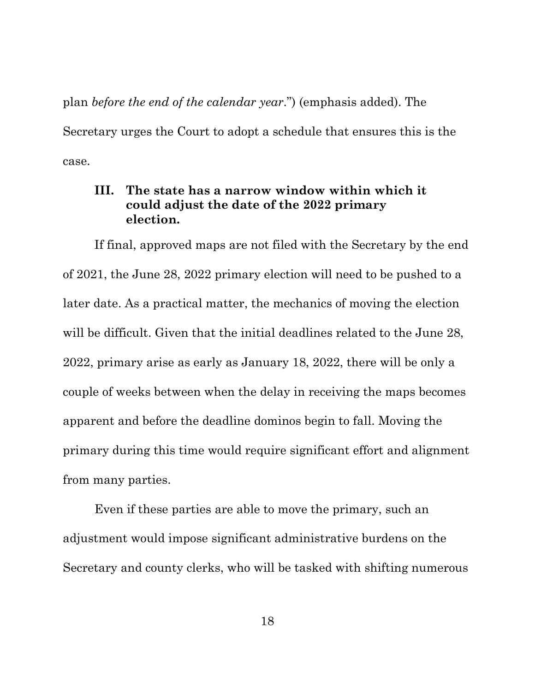plan *before the end of the calendar year*.") (emphasis added). The Secretary urges the Court to adopt a schedule that ensures this is the case.

#### **III. The state has a narrow window within which it could adjust the date of the 2022 primary election.**

If final, approved maps are not filed with the Secretary by the end of 2021, the June 28, 2022 primary election will need to be pushed to a later date. As a practical matter, the mechanics of moving the election will be difficult. Given that the initial deadlines related to the June 28, 2022, primary arise as early as January 18, 2022, there will be only a couple of weeks between when the delay in receiving the maps becomes apparent and before the deadline dominos begin to fall. Moving the primary during this time would require significant effort and alignment from many parties.

Even if these parties are able to move the primary, such an adjustment would impose significant administrative burdens on the Secretary and county clerks, who will be tasked with shifting numerous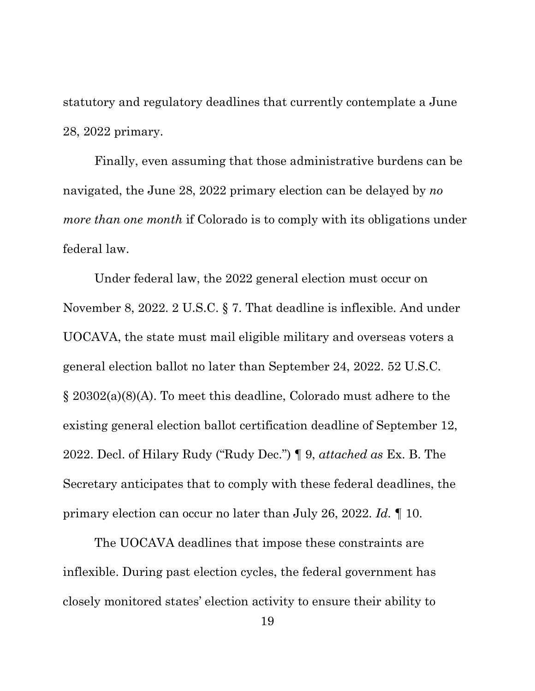statutory and regulatory deadlines that currently contemplate a June 28, 2022 primary.

Finally, even assuming that those administrative burdens can be navigated, the June 28, 2022 primary election can be delayed by *no more than one month* if Colorado is to comply with its obligations under federal law.

Under federal law, the 2022 general election must occur on November 8, 2022. 2 U.S.C. § 7. That deadline is inflexible. And under UOCAVA, the state must mail eligible military and overseas voters a general election ballot no later than September 24, 2022. 52 U.S.C. § 20302(a)(8)(A). To meet this deadline, Colorado must adhere to the existing general election ballot certification deadline of September 12, 2022. Decl. of Hilary Rudy ("Rudy Dec.") ¶ 9, *attached as* Ex. B. The Secretary anticipates that to comply with these federal deadlines, the primary election can occur no later than July 26, 2022. *Id.* ¶ 10.

The UOCAVA deadlines that impose these constraints are inflexible. During past election cycles, the federal government has closely monitored states' election activity to ensure their ability to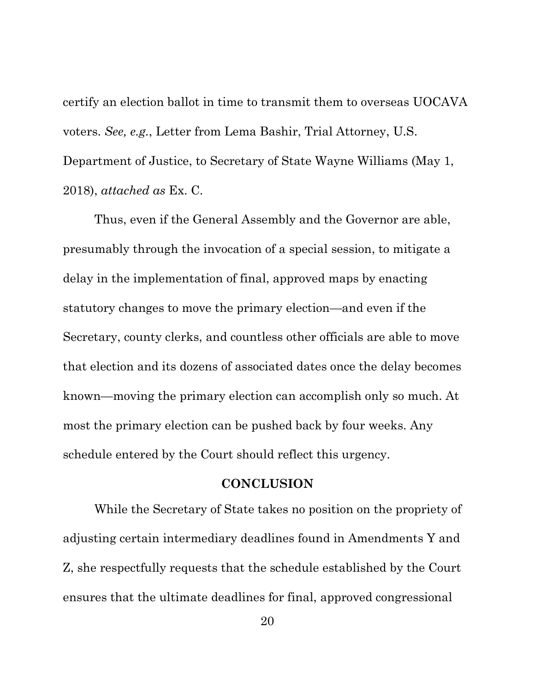certify an election ballot in time to transmit them to overseas UOCAVA voters. *See, e.g.*, Letter from Lema Bashir, Trial Attorney, U.S. Department of Justice, to Secretary of State Wayne Williams (May 1, 2018), *attached as* Ex. C.

Thus, even if the General Assembly and the Governor are able, presumably through the invocation of a special session, to mitigate a delay in the implementation of final, approved maps by enacting statutory changes to move the primary election—and even if the Secretary, county clerks, and countless other officials are able to move that election and its dozens of associated dates once the delay becomes known—moving the primary election can accomplish only so much. At most the primary election can be pushed back by four weeks. Any schedule entered by the Court should reflect this urgency.

#### **CONCLUSION**

While the Secretary of State takes no position on the propriety of adjusting certain intermediary deadlines found in Amendments Y and Z, she respectfully requests that the schedule established by the Court ensures that the ultimate deadlines for final, approved congressional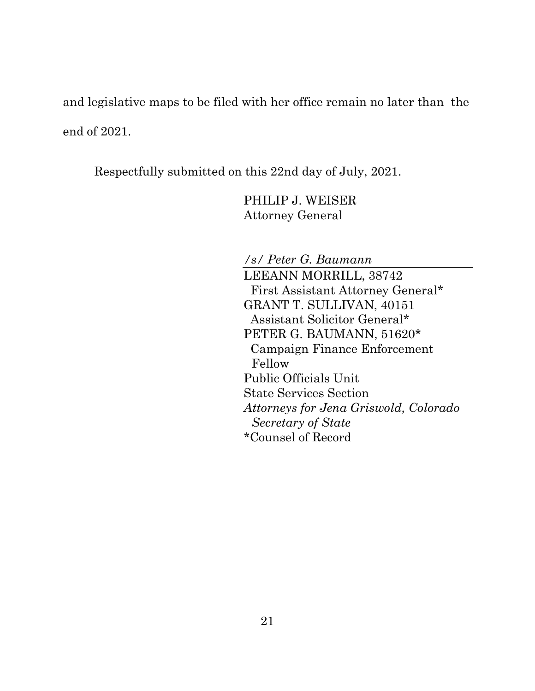and legislative maps to be filed with her office remain no later than the end of 2021.

Respectfully submitted on this 22nd day of July, 2021.

PHILIP J. WEISER Attorney General

*/s/ Peter G. Baumann*

LEEANN MORRILL, 38742 First Assistant Attorney General\* GRANT T. SULLIVAN, 40151 Assistant Solicitor General\* PETER G. BAUMANN, 51620\* Campaign Finance Enforcement Fellow Public Officials Unit State Services Section *Attorneys for Jena Griswold, Colorado Secretary of State* \*Counsel of Record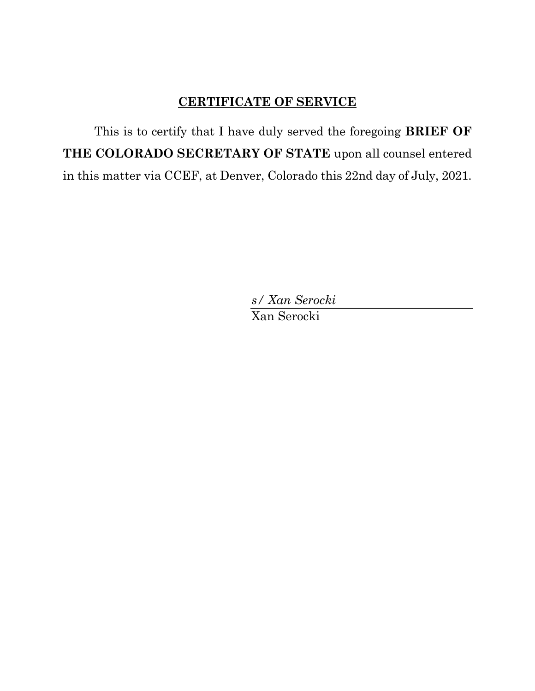### **CERTIFICATE OF SERVICE**

This is to certify that I have duly served the foregoing **BRIEF OF THE COLORADO SECRETARY OF STATE** upon all counsel entered in this matter via CCEF, at Denver, Colorado this 22nd day of July, 2021.

> *s/ Xan Serocki* Xan Serocki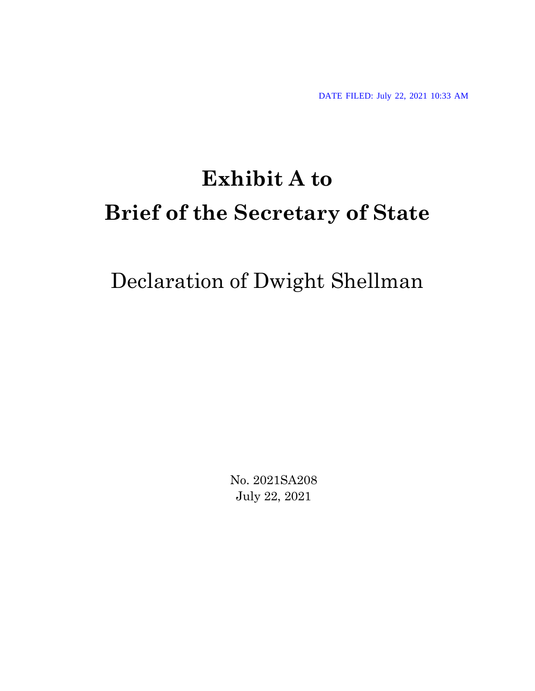DATE FILED: July 22, 2021 10:33 AM

# **Exhibit A to Brief of the Secretary of State**

# Declaration of Dwight Shellman

No. 2021SA208 July 22, 2021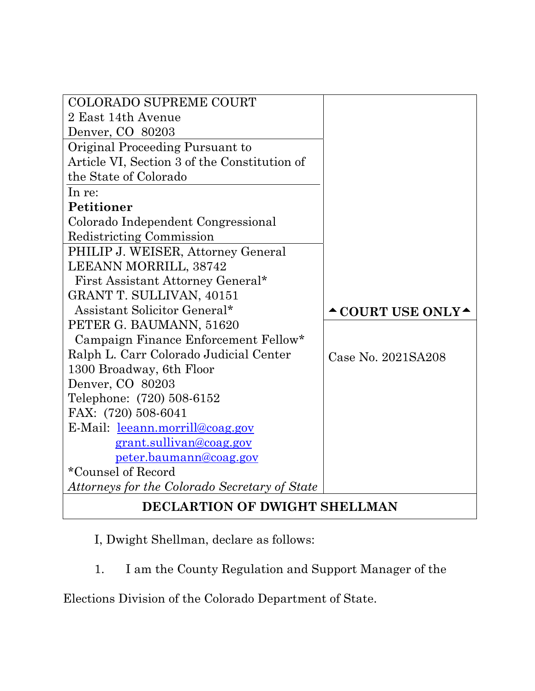| <b>COLORADO SUPREME COURT</b>                 |                                        |
|-----------------------------------------------|----------------------------------------|
| 2 East 14th Avenue                            |                                        |
| Denver, CO 80203                              |                                        |
| Original Proceeding Pursuant to               |                                        |
| Article VI, Section 3 of the Constitution of  |                                        |
| the State of Colorado                         |                                        |
| In re:                                        |                                        |
| <b>Petitioner</b>                             |                                        |
| Colorado Independent Congressional            |                                        |
| Redistricting Commission                      |                                        |
| PHILIP J. WEISER, Attorney General            |                                        |
| LEEANN MORRILL, 38742                         |                                        |
| First Assistant Attorney General*             |                                        |
| GRANT T. SULLIVAN, 40151                      |                                        |
| Assistant Solicitor General*                  | $\triangle$ COURT USE ONLY $\triangle$ |
| PETER G. BAUMANN, 51620                       |                                        |
| Campaign Finance Enforcement Fellow*          |                                        |
| Ralph L. Carr Colorado Judicial Center        | Case No. 2021SA208                     |
| 1300 Broadway, 6th Floor                      |                                        |
| Denver, CO 80203                              |                                        |
| Telephone: (720) 508-6152                     |                                        |
| FAX: (720) 508-6041                           |                                        |
| E-Mail: leeann.morrill@coag.gov               |                                        |
| grant.sullivan@coag.gov                       |                                        |
| peter.baumann@coag.gov                        |                                        |
| *Counsel of Record                            |                                        |
| Attorneys for the Colorado Secretary of State |                                        |
| DECLARTION OF DWIGHT SHELLMAN                 |                                        |

I, Dwight Shellman, declare as follows:

1. I am the County Regulation and Support Manager of the

Elections Division of the Colorado Department of State.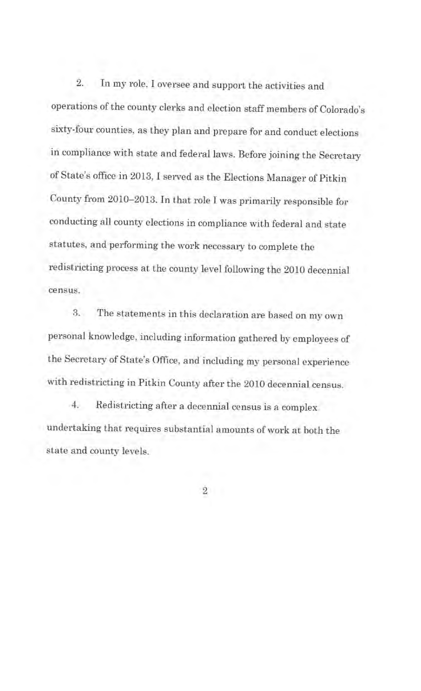2. In my role, I oversee and support the activities and operations of the county clerks and election staff members of Colorado's sixty-four counties, as they plan and prepare for and conduct elections in compliance with state and federal laws. Before joining the Secretary of State's office in 2013, I served as the Elections Manager of Pitkin County from 2010-2013. In that role I was primarily responsible for conducting all county elections in compliance with federal and state statutes, and performing the work necessary to complete the redistricting process at the county level following the 2010 decennial census.

3. The statements in this declaration are based on my own personal knowledge, including information gathered by employees of the Secretary of State's Office, and including my personal experience with redistricting in Pitkin County after the 2010 decennial census.

4. Redistricting after a decennial census is a complex undertaking that requires substantial amounts of work at both the state and county levels.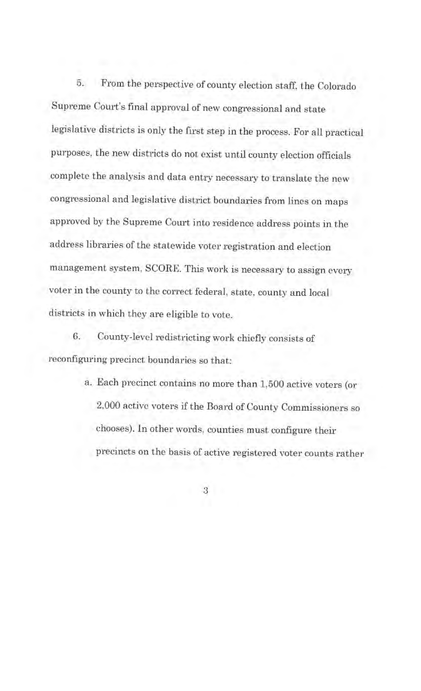5. From the perspective of county election staff, the Colorado Supreme Court's final approval of new congressional and state legislative districts is only the first step in the process. For all practical purposes, the new districts do not exist until county election officials complete the analysis and data entry necessary to translate the new congressional and legislative district boundaries from lines on maps approved by the Supreme Court into residence address points in the address libraries of the statewide voter registration and election management system, SCORE. This work is necessary to assign every voter in the county to the correct federal, state, county and local districts in which they are eligible to vote.

6. County-level redistricting work chiefly consists of reconfiguring precinct boundaries so that:

> a. Each precinct contains no more than 1,500 active voters (or 2,000 active voters if the Board of County Commissioners so chooses). In other words, counties must configure their precincts on the basis of active registered voter counts rather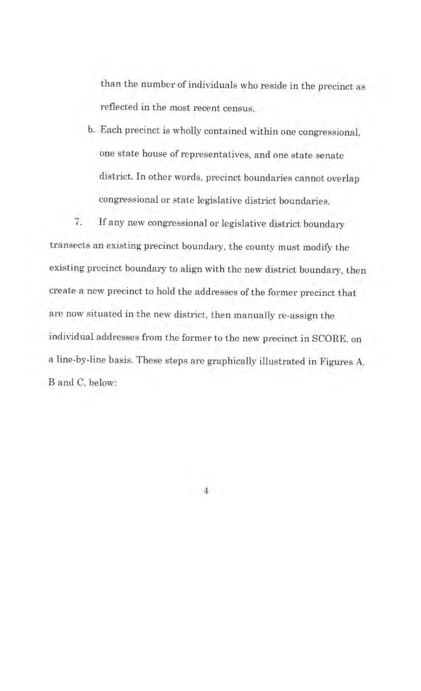than the number of individuals who reside in the precinct as reflected in the most recent census.

b. Each precinct is wholly contained within one congressional, one state house of representatives, and one state senate district. In other words, precinct boundaries cannot overlap congressional or state legislative district boundaries.

7. If any new congressional or legislative district boundary transects an existing precinct boundary, the county must modify the existing precinct boundary to align with the new district boundary, then create a new precinct to hold the addresses of the former precinct that arc now situated in the new district, then manually re-assign the individual addresses from the former to the new precinct in SCORE, on a line-by-line basis. These steps arc graphically illustrated in Figures A, B and C, below: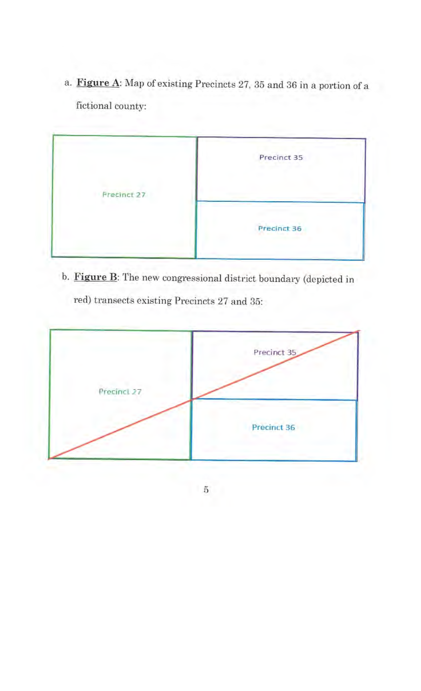a. **Figure A:** Map of existing Precincts 27, 35 and 36 **in** a portion of a fictional county:



b. **Figure B:** The new congressional district boundary (depicted in

red) transects existing Precincts 27 and 35:

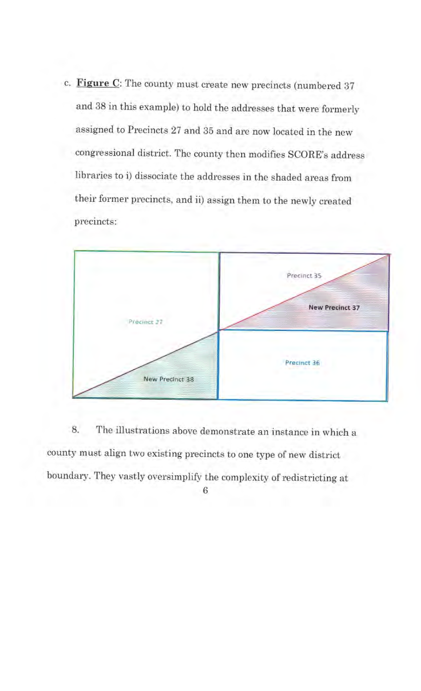c. **Figure** C: The county must create new precincts (numbered 37 and 38 in this example) to hold the addresses that were formerly assigned to Precincts 27 and 35 and are now located in the new congressional district. The county then modifies SCORE's address libraries to i) dissociate the addresses in the shaded areas from their former precincts, and ii) assign them to the newly created precincts:



8. The illustrations above demonstrate an instance in which a county must align two existing precincts to one type of new district boundary. They vastly oversimplify the complexity of redistricting at 6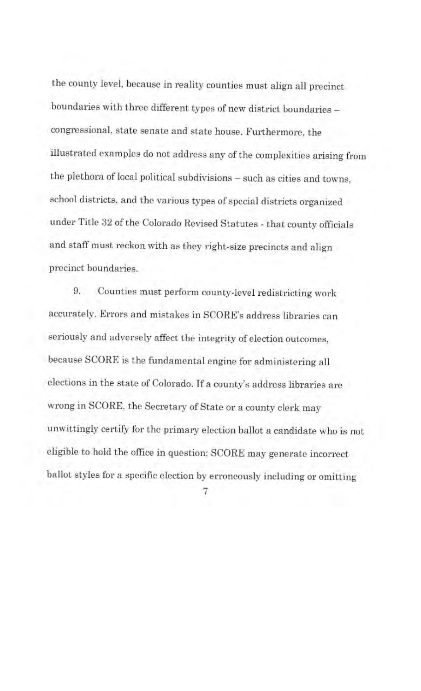the county level, because in reality counties must align all precinct boundaries with three different types of new district boundaries congressional, state senate and state house. Furthermore, the illustrated examples do not address any of the complexities arising from the plethora of local political subdivisions - such as cities and towns, school districts, and the various types of special districts organized under Title 32 of the Colorado Revised Statutes - that county officials and staff must reckon with as they right-size precincts and align precinct boundaries.

9. Counties must perform county-level redistricting work accurately. Errors and mistakes in SCORE's address libraries can seriously and adversely affect the integrity of election outcomes, because SCORE is the fundamental engine for administering all elections in the state of Colorado. If a county's address libraries arc wrong in SCORE, the Secretary of State or a county clerk may unwittingly certify for the primary election ballot a candidate who is not eligible to hold the office in question; SCORE may generate incorrect ballot styles for a specific election by erroneously including or omitting

<sup>7</sup>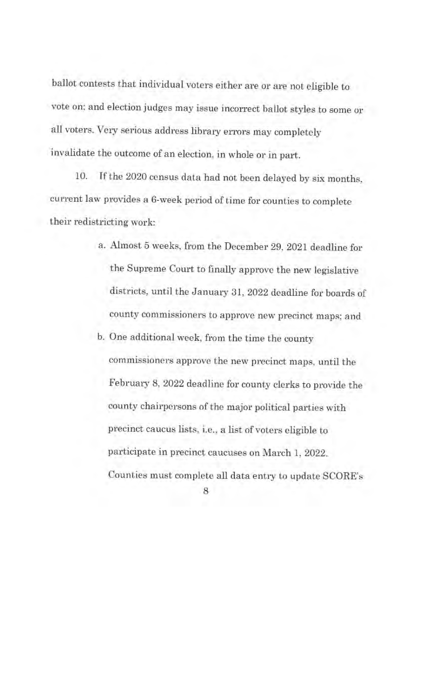ballot contests that individual voters either are or are not eligible to vote on; and election judges may issue incorrect ballot styles to some or all voters. Very serious address library errors may completely invalidate the outcome of an election, in whole or in part.

10. Tf the 2020 census data had not been delayed by six months, current law provides a 6-week period of time for counties to complete their redistricting work:

- a. Almost 5 weeks, from the December 29, 2021 deadline for the Supreme Court to finally approve the new legislative districts, until the January 31, 2022 deadline for boards of county commissioners to approve new precinct maps; and
- b. One additional week, from the time the county commissioners approve the new precinct maps, until the February 8, 2022 deadline for county clerks to provide the county chairpersons of the major political parties with precinct caucus lists, i.e., a list of voters eligible to participate in precinct caucuses on March 1, 2022. Counties must complete all data entry to update SCORE's

<sup>8</sup>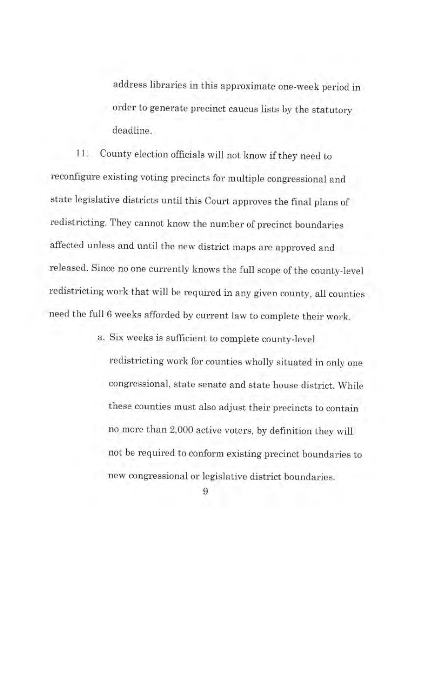address libraries in this approximate one-week period in order to generate precinct caucus lists by the statutory deadline.

11. County election officials will not know if they need to reconfigure existing voting precincts for multiple congressional and state legislative districts until this Court approves the final plans of redistricting. They cannot know the number of precinct boundaries affected unless and until the new district maps are approved and released. Since no one currently knows the full scope of the county-level redistricting work that will be required in any given county, all counties need the full 6 weeks afforded by current law to complete their work.

> a. Six weeks is sufficient to complete county-level redistricting work for counties wholly situated in only one congressional, state senate and state house district. While these counties must also adjust their precincts to contain no more than 2,000 active voters, by definition they will not be required to conform existing precinct boundaries to new congressional or legislative district boundaries.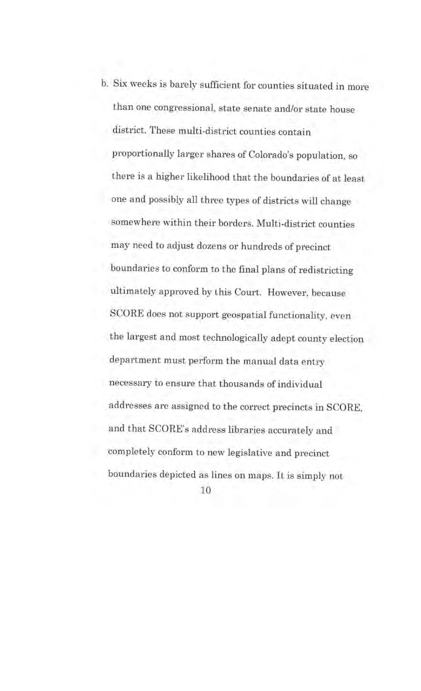b. Six weeks is barely sufficient for counties situated in more than one congressional, state senate and/or state house district. These multi-district counties contain proportionally larger shares of Colorado's population, so there is a higher likelihood that the boundaries of at least one and possibly all three types of districts will change somewhere within their borders. Multi-district counties may need to adjust dozens or hundreds of precinct boundaries to conform to the final plans of redistricting ultimately approved by this Court. However, because SCORE does not support geospatial functionality, even the largest and most technologically adept county election department must perform the manual data entry necessary to ensure that thousands of individual addresses are assigned to the correct precincts in SCORE, and that SCORE's address libraries accurately and completely conform to new legislative and precinct boundaries depicted as lines on maps. It is simply not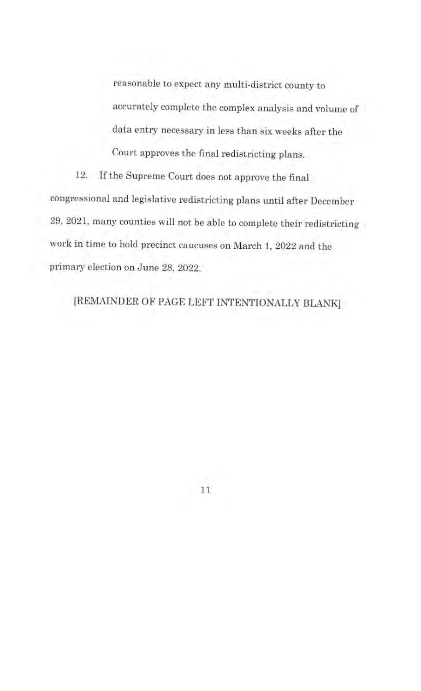reasonable to expect any multi-district county to accurately complete the complex analysis and volume of data entry necessary in less than six weeks after the Court approves the final redistricting plans.

12. If the Supreme Court does not approve the final congressional and legislative redistricting plans until after December 29, 2021, many counties will not be able to complete their redistricting work in time to hold precinct caucuses on March 1, 2022 and the primary election on June 28, 2022.

[REMAINDER OF PAGE LEFT INTENTIONALLY BLANK]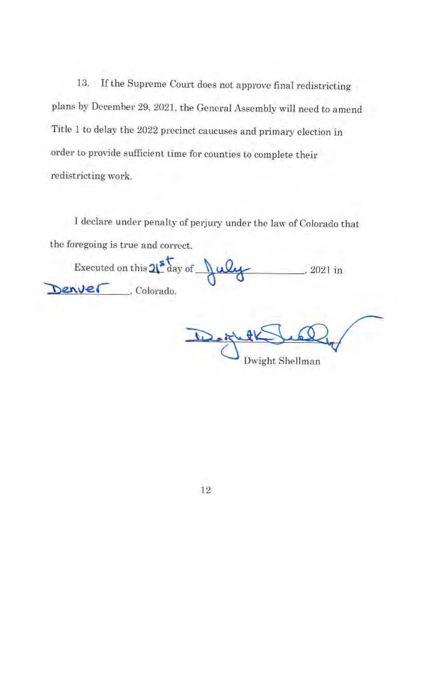13. If the Supreme Court does not approve final redistricting plans by December 29, 2021, the General Assembly will need to amend Title 1 to delay the 2022 precinct caucuses and primary election in order to provide sufficient time for counties to complete their redistricting work.

I declare under penalty of perjury under the law of Colorado that the foregoing is true and correct.

Executed on this  $2\int_{0}^{5}$  day of  $\int_{0}^{3} u \frac{u}{u}$ , 2021 in Denver Golorado.

Dwight Shellman

12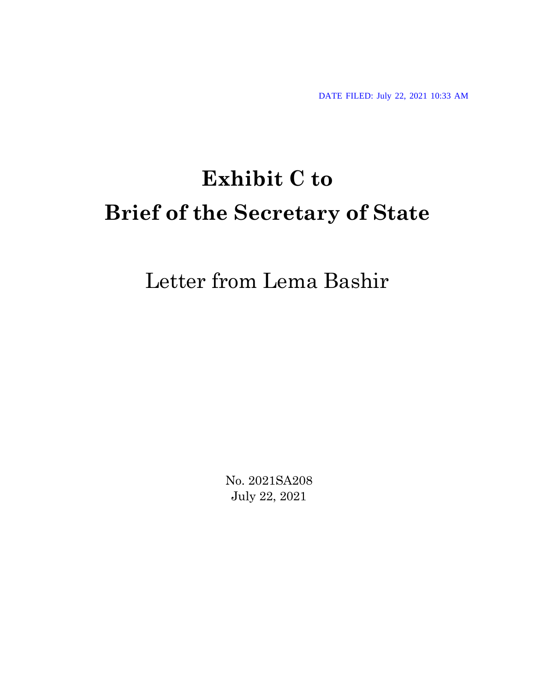DATE FILED: July 22, 2021 10:33 AM

# **Exhibit C to Brief of the Secretary of State**

Letter from Lema Bashir

No. 2021SA208 July 22, 2021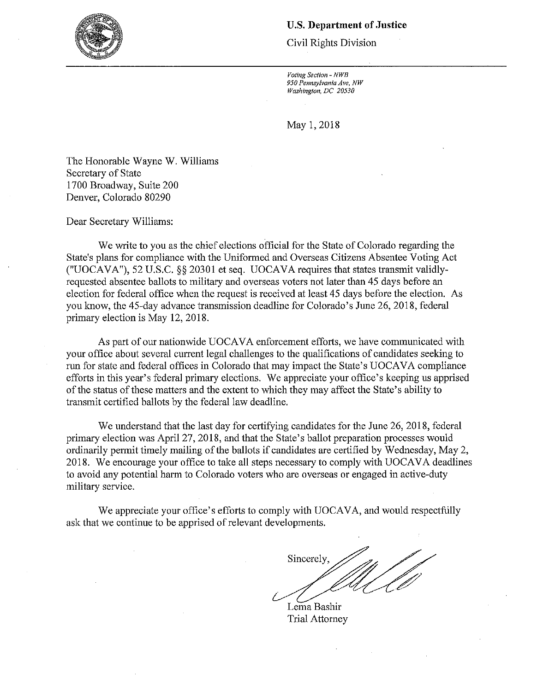#### **U.S. Department of Justice**

Civil Rights Division

Voting Section - NWB 950 Pennsylvania Ave, NW Washington, DC 20530

May 1, 2018

The Honorable Wayne W. Williams Secretary of State 1700 Broadway, Suite 200 Denver, Colorado 80290

Dear Secretary Williams:

We write to you as the chief elections official for the State of Colorado regarding the State's plans for compliance with the Uniformed and Overseas Citizens Absentee Voting Act ("UOCAVA"), 52 U.S.C. §§ 20301 et seq. UOCAVA requires that states transmit validlyrequested absentee ballots to military and overseas voters not later than 45 days before an election for federal office when the request is received at least 45 days before the election. As you know, the 45-day advance transmission deadline for Colorado's June 26, 2018, federal primary election is May 12, 2018.

As part of our nationwide UOCAVA enforcement efforts, we have communicated with your office about several current legal challenges to the qualifications of candidates seeking to run for state and federal offices in Colorado that may impact the State's UOCAVA compliance efforts in this year's federal primary elections. We appreciate your office's keeping us apprised of the status of these matters and the extent to which they may affect the State's ability to transmit certified ballots by the federal law deadline.

We understand that the last day for certifying candidates for the June 26, 2018, federal primary election was April 27, 2018, and that the State's ballot preparation processes would ordinarily permit timely mailing of the ballots if candidates are certified by Wednesday, May 2, 2018. We encourage your office to take all steps necessary to comply with UOCAVA deadlines to avoid any potential harm to Colorado voters who are overseas or engaged in active-duty military service.

We appreciate your office's efforts to comply with UOCAVA, and would respectfully ask that we continue to be apprised of relevant developments.

Sincerely,

Lema Bashir **Trial Attorney** 

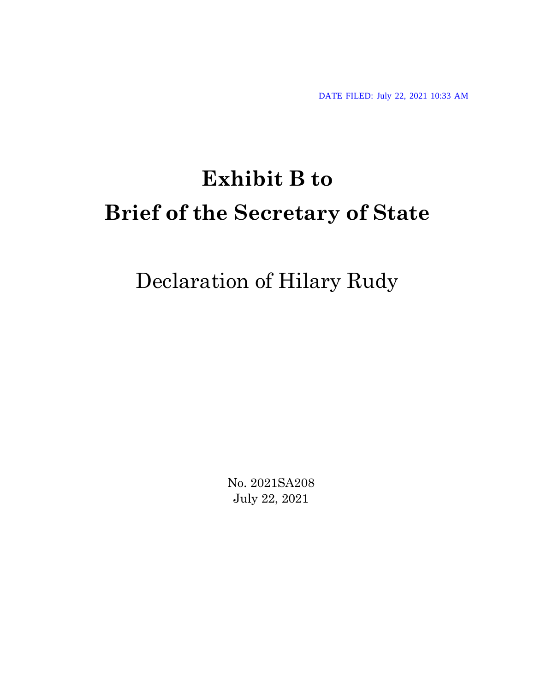DATE FILED: July 22, 2021 10:33 AM

# **Exhibit B to Brief of the Secretary of State**

# Declaration of Hilary Rudy

No. 2021SA208 July 22, 2021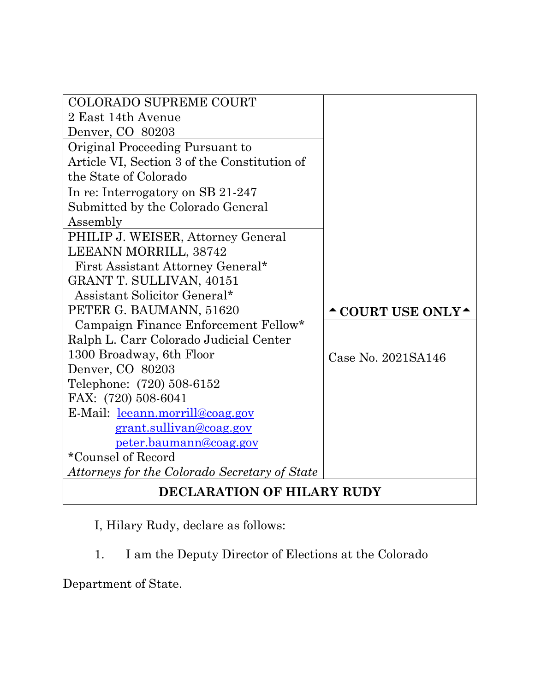| <b>COLORADO SUPREME COURT</b>                 |                         |
|-----------------------------------------------|-------------------------|
| 2 East 14th Avenue                            |                         |
| Denver, CO 80203                              |                         |
| Original Proceeding Pursuant to               |                         |
| Article VI, Section 3 of the Constitution of  |                         |
| the State of Colorado                         |                         |
| In re: Interrogatory on SB 21-247             |                         |
| Submitted by the Colorado General             |                         |
| Assembly                                      |                         |
| PHILIP J. WEISER, Attorney General            |                         |
| LEEANN MORRILL, 38742                         |                         |
| First Assistant Attorney General*             |                         |
| GRANT T. SULLIVAN, 40151                      |                         |
| Assistant Solicitor General*                  |                         |
| PETER G. BAUMANN, 51620                       | <b>^COURT USE ONLY^</b> |
| Campaign Finance Enforcement Fellow*          |                         |
| Ralph L. Carr Colorado Judicial Center        |                         |
| 1300 Broadway, 6th Floor                      | Case No. 2021SA146      |
| Denver, CO 80203                              |                         |
| Telephone: (720) 508-6152                     |                         |
| FAX: (720) 508-6041                           |                         |
| E-Mail: leeann.morrill@coag.gov               |                         |
| grant.sullivan@coag.gov                       |                         |
| peter.baumann@coag.gov                        |                         |
| *Counsel of Record                            |                         |
| Attorneys for the Colorado Secretary of State |                         |
| DECLARATION OF HILARY RUDY                    |                         |

I, Hilary Rudy, declare as follows:

1. I am the Deputy Director of Elections at the Colorado

Department of State.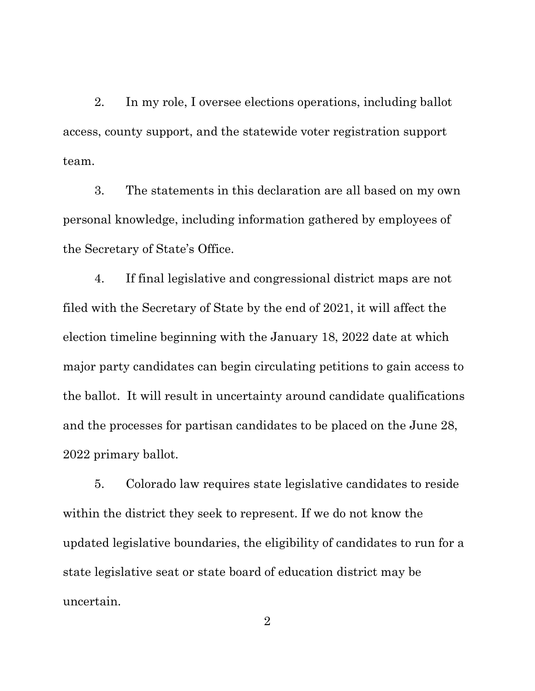2. In my role, I oversee elections operations, including ballot access, county support, and the statewide voter registration support team.

3. The statements in this declaration are all based on my own personal knowledge, including information gathered by employees of the Secretary of State's Office.

4. If final legislative and congressional district maps are not filed with the Secretary of State by the end of 2021, it will affect the election timeline beginning with the January 18, 2022 date at which major party candidates can begin circulating petitions to gain access to the ballot. It will result in uncertainty around candidate qualifications and the processes for partisan candidates to be placed on the June 28, 2022 primary ballot.

5. Colorado law requires state legislative candidates to reside within the district they seek to represent. If we do not know the updated legislative boundaries, the eligibility of candidates to run for a state legislative seat or state board of education district may be uncertain.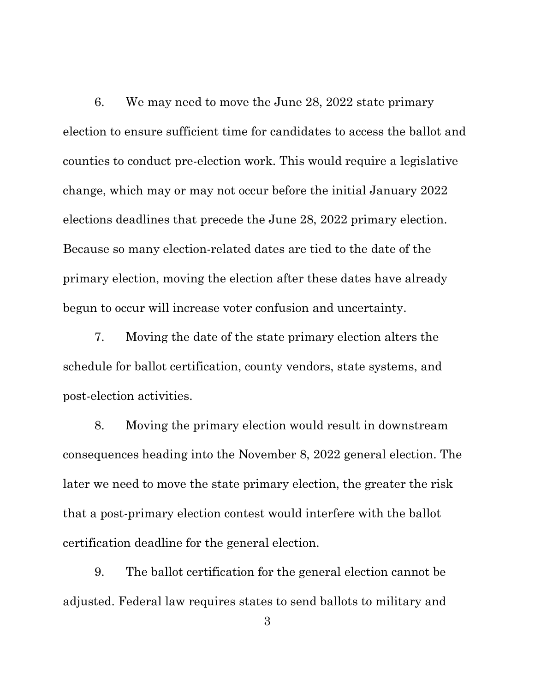6. We may need to move the June 28, 2022 state primary election to ensure sufficient time for candidates to access the ballot and counties to conduct pre-election work. This would require a legislative change, which may or may not occur before the initial January 2022 elections deadlines that precede the June 28, 2022 primary election. Because so many election-related dates are tied to the date of the primary election, moving the election after these dates have already begun to occur will increase voter confusion and uncertainty.

7. Moving the date of the state primary election alters the schedule for ballot certification, county vendors, state systems, and post-election activities.

8. Moving the primary election would result in downstream consequences heading into the November 8, 2022 general election. The later we need to move the state primary election, the greater the risk that a post-primary election contest would interfere with the ballot certification deadline for the general election.

9. The ballot certification for the general election cannot be adjusted. Federal law requires states to send ballots to military and